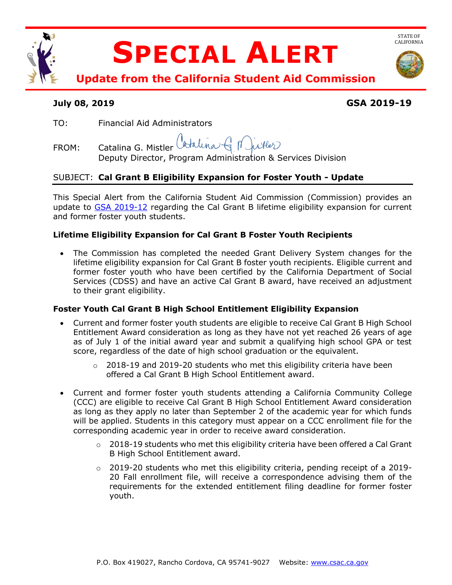

# **July 08, 2019 GSA 2019-19**

TO: Financial Aid Administrators

Catalina G N. FROM: Catalina G. Mistler Deputy Director, Program Administration & Services Division

## SUBJECT: **Cal Grant B Eligibility Expansion for Foster Youth - Update**

This Special Alert from the California Student Aid Commission (Commission) provides an update to [GSA 2019-12](https://www.csac.ca.gov/sites/main/files/file-attachments/gsa_2019-12.pdf) regarding the Cal Grant B lifetime eligibility expansion for current and former foster youth students.

## **Lifetime Eligibility Expansion for Cal Grant B Foster Youth Recipients**

• The Commission has completed the needed Grant Delivery System changes for the lifetime eligibility expansion for Cal Grant B foster youth recipients. Eligible current and former foster youth who have been certified by the California Department of Social Services (CDSS) and have an active Cal Grant B award, have received an adjustment to their grant eligibility.

#### **Foster Youth Cal Grant B High School Entitlement Eligibility Expansion**

- Current and former foster youth students are eligible to receive Cal Grant B High School Entitlement Award consideration as long as they have not yet reached 26 years of age as of July 1 of the initial award year and submit a qualifying high school GPA or test score, regardless of the date of high school graduation or the equivalent.
	- $\circ$  2018-19 and 2019-20 students who met this eligibility criteria have been offered a Cal Grant B High School Entitlement award.
- Current and former foster youth students attending a California Community College (CCC) are eligible to receive Cal Grant B High School Entitlement Award consideration as long as they apply no later than September 2 of the academic year for which funds will be applied. Students in this category must appear on a CCC enrollment file for the corresponding academic year in order to receive award consideration.
	- $\circ$  2018-19 students who met this eligibility criteria have been offered a Cal Grant B High School Entitlement award.
	- $\circ$  2019-20 students who met this eligibility criteria, pending receipt of a 2019-20 Fall enrollment file, will receive a correspondence advising them of the requirements for the extended entitlement filing deadline for former foster youth.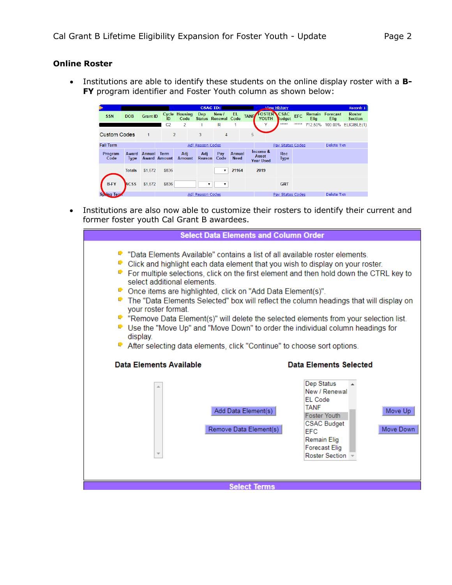### **Online Roster**

• Institutions are able to identify these students on the online display roster with a **B-FY** program identifier and Foster Youth column as shown below:

|                     |                      |                 |                                    |                              | <b>CSAC ID:</b>  |                              |                       |             |                                       | <b>View History</b>       |            |                |                         | Record: 1                |
|---------------------|----------------------|-----------------|------------------------------------|------------------------------|------------------|------------------------------|-----------------------|-------------|---------------------------------------|---------------------------|------------|----------------|-------------------------|--------------------------|
| <b>SSN</b>          | <b>DOB</b>           | <b>Grant ID</b> | ID                                 | <b>Cycle Housing</b><br>Code | <b>Dep</b>       | New /<br>Status Renewal Code | EL                    | <b>TANF</b> | <b>FOSTER CSAC</b><br>YOUTH           | Judget                    | <b>EFC</b> | Remain<br>Elig | Forecast<br><b>Elig</b> | Roster<br><b>Section</b> |
|                     |                      |                 | C <sub>2</sub>                     | $\overline{2}$               |                  | R                            | 1                     |             | v                                     | *****                     | *****      | 712.50%        | 100.00%                 | ELIGIBLE(1)              |
| <b>Custom Codes</b> |                      | 1               |                                    | $\overline{2}$               | 3                | $\overline{4}$               |                       | 5           |                                       |                           |            |                |                         |                          |
| <b>Fall Term</b>    |                      |                 |                                    |                              | Adj Reason Codes |                              |                       |             |                                       | Pay Status Codes          |            |                | Delete Txn              |                          |
| Program<br>Code     | Award<br><b>Type</b> | Annual          | <b>Term</b><br><b>Award Amount</b> | Adj<br><b>Amount</b>         | Adi<br>Reason    | Pay<br>Code                  | Annual<br><b>Need</b> |             | Income &<br>Asset<br><b>Year Used</b> | <b>Rec</b><br><b>Type</b> |            |                |                         |                          |
|                     | <b>Totals</b>        | \$1,672         | \$836                              |                              |                  |                              | 21164                 |             | 2019                                  |                           |            |                |                         |                          |
| <b>B-FY</b>         | ACSS                 | \$1,672         | \$836                              |                              |                  | 7                            |                       |             |                                       | <b>GRT</b>                |            |                |                         |                          |
| <b>Spring Terr</b>  |                      |                 | Adj Reason Codes                   |                              |                  |                              |                       |             | <b>Pay Status Codes</b>               |                           |            |                | Delete Txn              |                          |

• Institutions are also now able to customize their rosters to identify their current and former foster youth Cal Grant B awardees.